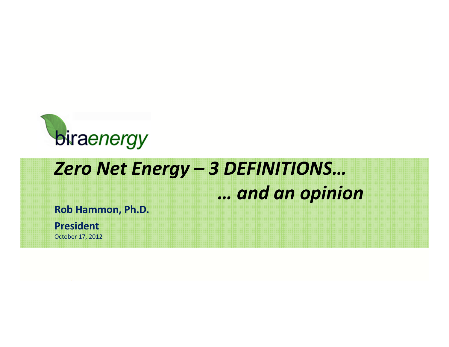

# *Zero Net Energy – 3 DEFINITIONS… … and an opinion*

**Rob Hammon, Ph.D.**

**President**

October 17, 2012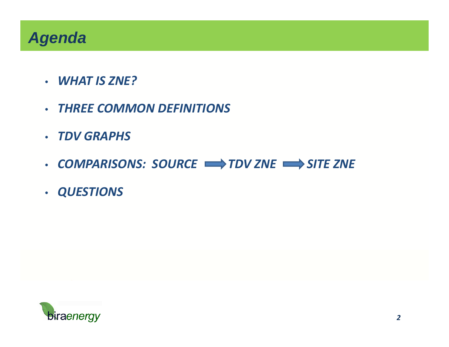### *Agenda*

- *WHAT IS ZNE?*
- *THREE COMMON DEFINITIONS*
- *TDV GRAPHS*
- *COMPARISONS: SOURCE TDV ZNE SITE ZNE*
- *QUESTIONS*

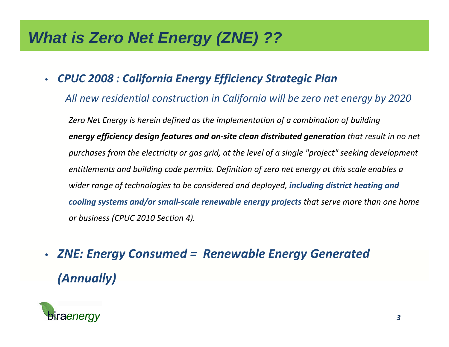### *What is Zero Net Energy (ZNE) ??*

 $\bullet$ *CPUC 2008 : California Energy Efficiency Strategic Plan*

*All new residential construction in California will be zero net energy by 2020*

*Zero Net Energy is herein defined as the implementation of a combination of building energy efficiency design features and on‐site clean distributed generation that result in no net purchases from the electricity or gas grid, at the level of a single "project" seeking development entitlements and building code permits. Definition of zero net energy at this scale enables a wider range of technologies to be considered and deployed, including district heating and cooling systems and/or small‐scale renewable energy projects that serve more than one home or business (CPUC 2010 Section 4).*

• *ZNE: Energy Consumed = Renewable Energy Generated (Annually)*

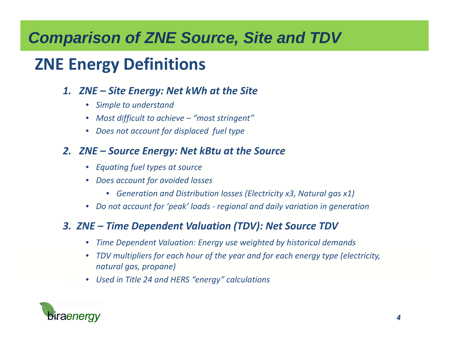## *Comparison of ZNE Source, Site and TDV*

## **ZNE Energy Definitions**

### *1. ZNE – Site Energy: Net kWh at the Site*

- *Simple to understand*
- *Most difficult to achieve – "most stringent"*
- *Does not account for displaced fuel type*

### *2. ZNE – Source Energy: Net kBtu at the Source*

- *Equating fuel types at source*
- *Does account for avoided losses*
	- *Generation and Distribution losses (Electricity x3, Natural gas x1)*
- *Do not account for 'peak' loads ‐ regional and daily variation in generation*

### *3. ZNE – Time Dependent Valuation (TDV): Net Source TDV*

- •*Time Dependent Valuation: Energy use weighted by historical demands*
- • *TDV multipliers for each hour of the year and for each energy type (electricity, natural gas, propane)*
- *Used in Title 24 and HERS "energy" calculations*

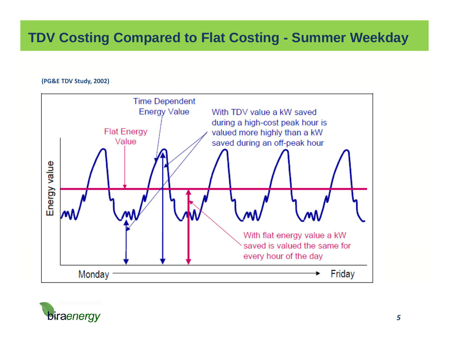### **TDV Costing Compared to Flat Costing - Summer Weekday**

### **(PG&E TDV Study, 2002)**



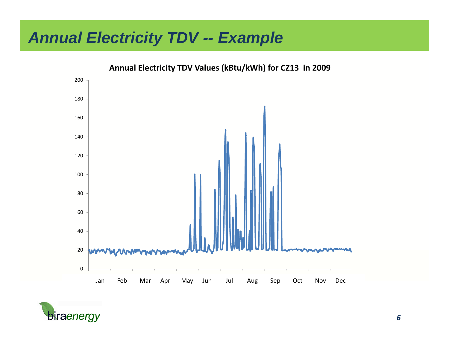### *Annual Electricity TDV -- Example*



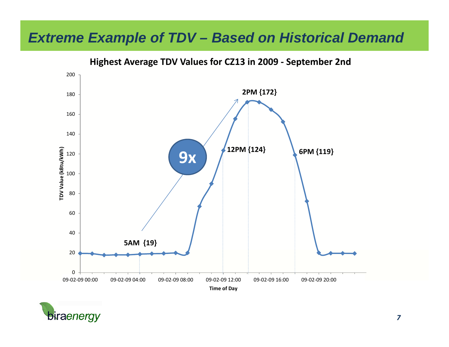### *Extreme Example of TDV – Based on Historical Demand*

200 **2PM {172}** 180160 140TDV Value (kBtu/kWh) **6PM {119} 12PM {124} TDV Value (kBtu/kWh) 9x** 120 100 80 60 40**5AM {19}** 20 009-02-09 00:00 00:00 09‐02‐09 04:00 09‐02‐09 08:00 09‐02‐09 12:00 09‐02‐09 16:00 09‐02‐09 20:00 **Time of Day**



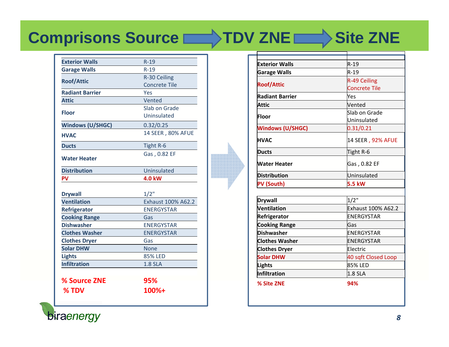# **Comprisons Source TDV ZNE Site ZNE**

| <b>Exterior Walls</b>   | $R-19$               |
|-------------------------|----------------------|
| <b>Garage Walls</b>     | $R-19$               |
|                         | R-30 Ceiling         |
| <b>Roof/Attic</b>       | <b>Concrete Tile</b> |
| <b>Radiant Barrier</b>  | Yes                  |
| <b>Attic</b>            | Vented               |
| <b>Floor</b>            | Slab on Grade        |
|                         | Uninsulated          |
| <b>Windows (U/SHGC)</b> | 0.32/0.25            |
| <b>HVAC</b>             | 14 SEER, 80% AFUE    |
| <b>Ducts</b>            | Tight R-6            |
| <b>Water Heater</b>     | Gas, 0.82 EF         |
| <b>Distribution</b>     | Uninsulated          |
| PV                      | <b>4.0 kW</b>        |
|                         |                      |
| <b>Drywall</b>          | $1/2$ "              |
| <b>Ventilation</b>      | Exhaust 100% A62.2   |
| <b>Refrigerator</b>     | <b>ENERGYSTAR</b>    |
| <b>Cooking Range</b>    | Gas                  |
| <b>Dishwasher</b>       | <b>ENERGYSTAR</b>    |
| <b>Clothes Washer</b>   | <b>ENERGYSTAR</b>    |
| <b>Clothes Dryer</b>    | Gas                  |
| <b>Solar DHW</b>        | <b>None</b>          |
| <b>Lights</b>           | <b>85% LED</b>       |
| <b>Infiltration</b>     | <b>1.8 SLA</b>       |
|                         |                      |
| % Source ZNE            | 95%                  |
|                         | 100%+                |

| <b>Exterior Walls</b>  | $R-19$               |
|------------------------|----------------------|
| <b>Garage Walls</b>    | $R-19$               |
| <b>Roof/Attic</b>      | R-49 Ceiling         |
|                        | <b>Concrete Tile</b> |
| <b>Radiant Barrier</b> | Yes                  |
| <b>Attic</b>           | Vented               |
| Floor                  | Slab on Grade        |
|                        | Uninsulated          |
| Windows (U/SHGC)       | 0.31/0.21            |
| <b>HVAC</b>            | 14 SEER, 92% AFUE    |
| <b>Ducts</b>           | Tight R-6            |
| <b>Water Heater</b>    | Gas, 0.82 EF         |
| <b>Distribution</b>    | Uninsulated          |
| <b>PV (South)</b>      | 5.5 kW               |
|                        |                      |
| <b>Drywall</b>         | 1/2"                 |
| Ventilation            | Exhaust 100% A62.2   |
| Refrigerator           | ENERGYSTAR           |
| <b>Cooking Range</b>   | Gas                  |
| <b>Dishwasher</b>      | ENERGYSTAR           |
| <b>Clothes Washer</b>  | ENERGYSTAR           |
| <b>Clothes Dryer</b>   | Electric             |
| <b>Solar DHW</b>       | 40 sqft Closed Loop  |
| Lights                 | 85% LED              |
| Infiltration           | <b>1.8 SLA</b>       |
| % Site ZNE             | 94%                  |

biraenergy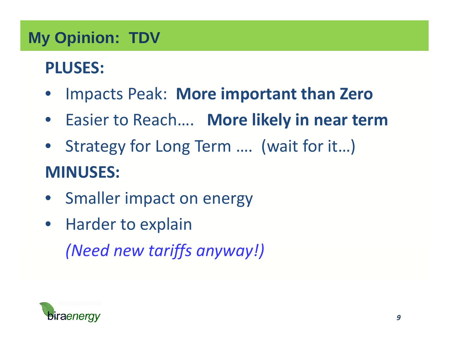# **My Opinion: TDV**

# **PLUSES:**

- $\bullet$ Impacts Peak: **More important than Zero**
- Easier to Reach…. **More likely in near term**
- Strategy for Long Term …. (wait for it…) **MINUSES:**
- Smaller impact on energy
- Harder to explain *(Need new tariffs anyway!)*

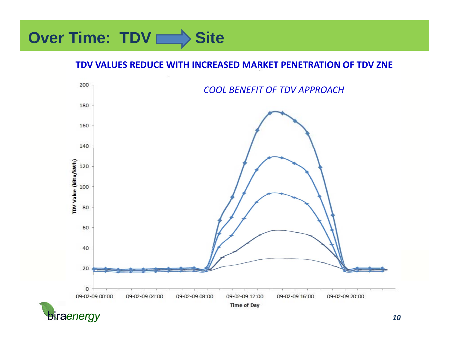# **Over Time: TDV Site**

### **TDV VALUES REDUCE WITH INCREASED MARKET PENETRATION OF TDV ZNE**



biraenergy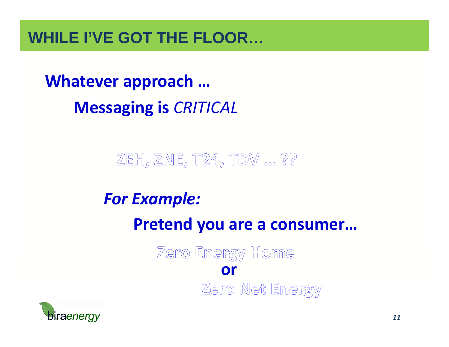### **WHILE I'VE GOT THE FLOOR…**

**Whatever approach … Messaging is** *CRITICAL*

ZEH, ZNE, T24, TDV ... ??

### *For Example:*

**Pretend you are a consumer…**

Zero Energy Home **or**Zero Net Energy